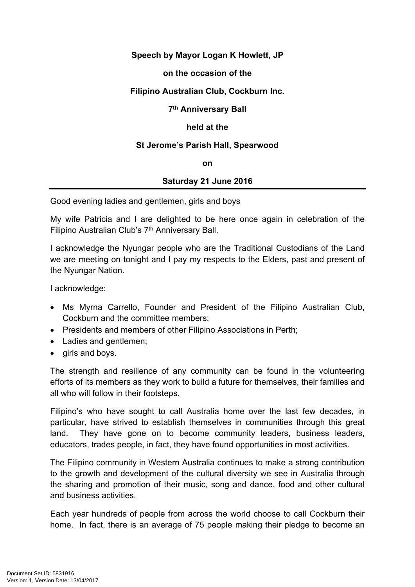# **Speech by Mayor Logan K Howlett, JP**

#### **on the occasion of the**

## **Filipino Australian Club, Cockburn Inc.**

## **7 th Anniversary Ball**

## **held at the**

## **St Jerome's Parish Hall, Spearwood**

#### **on**

# **Saturday 21 June 2016**

Good evening ladies and gentlemen, girls and boys

My wife Patricia and I are delighted to be here once again in celebration of the Filipino Australian Club's 7<sup>th</sup> Anniversary Ball.

I acknowledge the Nyungar people who are the Traditional Custodians of the Land we are meeting on tonight and I pay my respects to the Elders, past and present of the Nyungar Nation.

I acknowledge:

- Ms Myrna Carrello, Founder and President of the Filipino Australian Club, Cockburn and the committee members;
- Presidents and members of other Filipino Associations in Perth;
- Ladies and gentlemen;
- girls and boys.

The strength and resilience of any community can be found in the volunteering efforts of its members as they work to build a future for themselves, their families and all who will follow in their footsteps.

Filipino's who have sought to call Australia home over the last few decades, in particular, have strived to establish themselves in communities through this great land. They have gone on to become community leaders, business leaders, educators, trades people, in fact, they have found opportunities in most activities.

The Filipino community in Western Australia continues to make a strong contribution to the growth and development of the cultural diversity we see in Australia through the sharing and promotion of their music, song and dance, food and other cultural and business activities.

Each year hundreds of people from across the world choose to call Cockburn their home. In fact, there is an average of 75 people making their pledge to become an